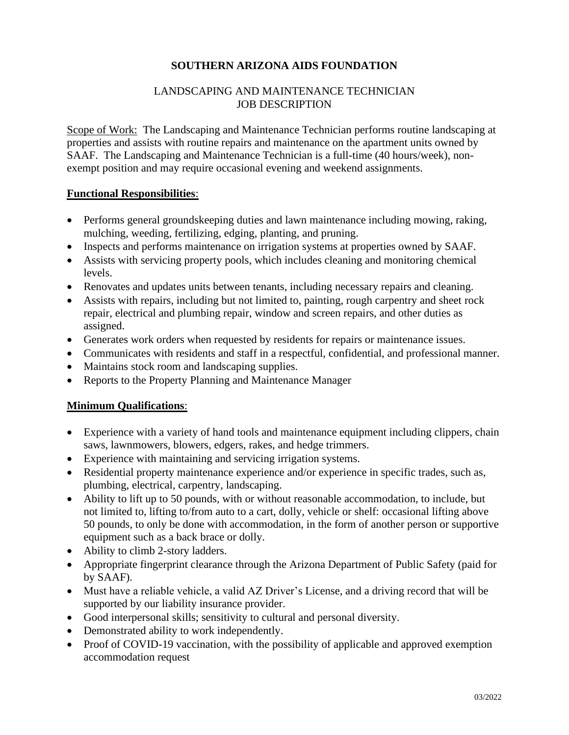## **SOUTHERN ARIZONA AIDS FOUNDATION**

### LANDSCAPING AND MAINTENANCE TECHNICIAN JOB DESCRIPTION

Scope of Work: The Landscaping and Maintenance Technician performs routine landscaping at properties and assists with routine repairs and maintenance on the apartment units owned by SAAF. The Landscaping and Maintenance Technician is a full-time (40 hours/week), nonexempt position and may require occasional evening and weekend assignments.

#### **Functional Responsibilities**:

- Performs general groundskeeping duties and lawn maintenance including mowing, raking, mulching, weeding, fertilizing, edging, planting, and pruning.
- Inspects and performs maintenance on irrigation systems at properties owned by SAAF.
- Assists with servicing property pools, which includes cleaning and monitoring chemical levels.
- Renovates and updates units between tenants, including necessary repairs and cleaning.
- Assists with repairs, including but not limited to, painting, rough carpentry and sheet rock repair, electrical and plumbing repair, window and screen repairs, and other duties as assigned.
- Generates work orders when requested by residents for repairs or maintenance issues.
- Communicates with residents and staff in a respectful, confidential, and professional manner.
- Maintains stock room and landscaping supplies.
- Reports to the Property Planning and Maintenance Manager

## **Minimum Qualifications**:

- Experience with a variety of hand tools and maintenance equipment including clippers, chain saws, lawnmowers, blowers, edgers, rakes, and hedge trimmers.
- Experience with maintaining and servicing irrigation systems.
- Residential property maintenance experience and/or experience in specific trades, such as, plumbing, electrical, carpentry, landscaping.
- Ability to lift up to 50 pounds, with or without reasonable accommodation, to include, but not limited to, lifting to/from auto to a cart, dolly, vehicle or shelf: occasional lifting above 50 pounds, to only be done with accommodation, in the form of another person or supportive equipment such as a back brace or dolly.
- Ability to climb 2-story ladders.
- Appropriate fingerprint clearance through the Arizona Department of Public Safety (paid for by SAAF).
- Must have a reliable vehicle, a valid AZ Driver's License, and a driving record that will be supported by our liability insurance provider.
- Good interpersonal skills; sensitivity to cultural and personal diversity.
- Demonstrated ability to work independently.
- Proof of COVID-19 vaccination, with the possibility of applicable and approved exemption accommodation request